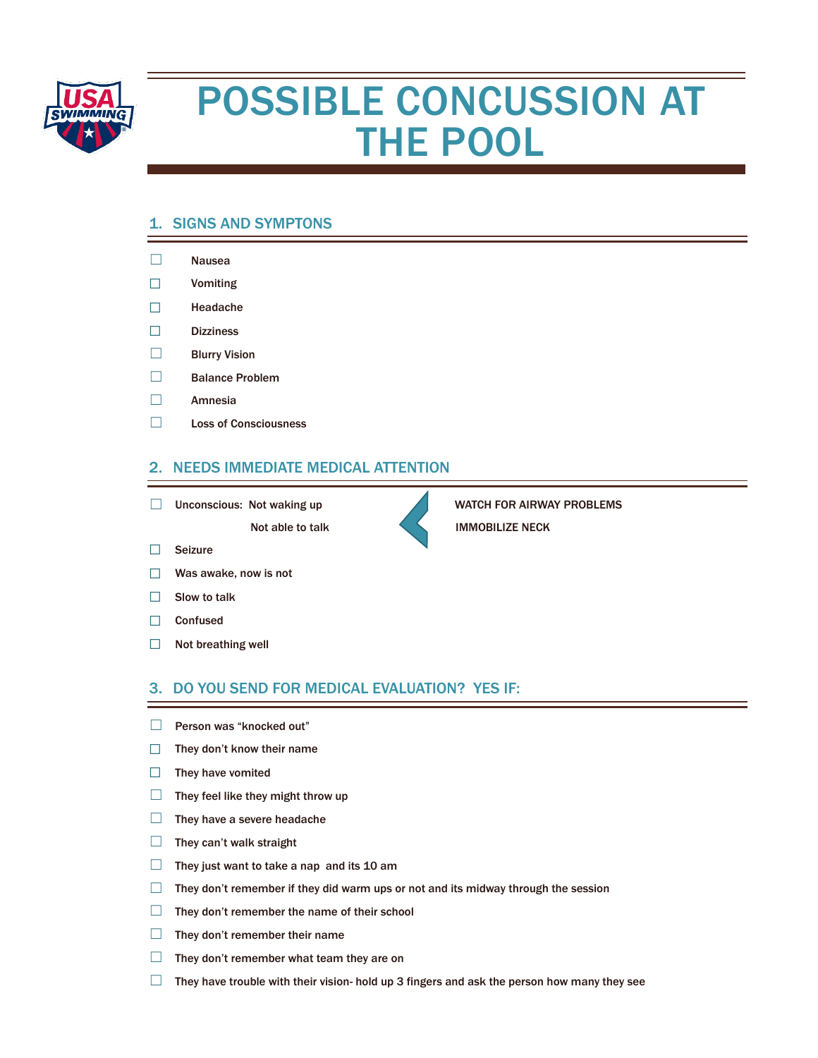

# POSSIBLE CONCUSSION AT THE POOL

## 1. SIGNS AND SYMPTONS

- ☐ Nausea
- ☐ Vomiting
- ☐ Headache
- ☐ Dizziness
- ☐ Blurry Vision
- ☐ Balance Problem
- ☐ Amnesia
- ☐ Loss of Consciousness

### 2. NEEDS IMMEDIATE MEDICAL ATTENTION

□ Unconscious: Not waking up WATCH FOR AIRWAY PROBLEMS

Not able to talk **IMMOBILIZE NECK** 

- ☐ Seizure
- ☐ Was awake, now is not
- $\Box$  Slow to talk
- ☐ Confused
- ☐ Not breathing well

#### 3. DO YOU SEND FOR MEDICAL EVALUATION? YES IF:

- □ Person was "knocked out"
- ☐ They don't know their name
- ☐ They have vomited
- $\Box$  They feel like they might throw up
- $\Box$  They have a severe headache
- $\Box$  They can't walk straight
- $\Box$  They just want to take a nap and its 10 am
- $\Box$  They don't remember if they did warm ups or not and its midway through the session
- ☐ They don't remember the name of their school
- $\Box$  They don't remember their name
- $\Box$  They don't remember what team they are on
- $\Box$  They have trouble with their vision- hold up 3 fingers and ask the person how many they see